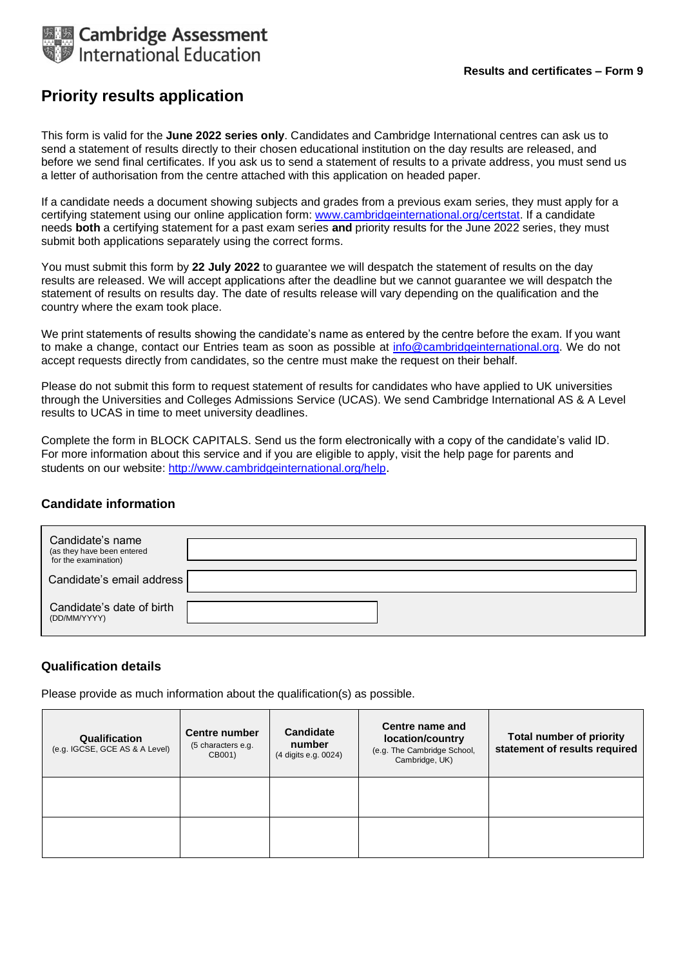

# **Priority results application**

This form is valid for the **June 2022 series only**. Candidates and Cambridge International centres can ask us to send a statement of results directly to their chosen educational institution on the day results are released, and before we send final certificates. If you ask us to send a statement of results to a private address, you must send us a letter of authorisation from the centre attached with this application on headed paper.

If a candidate needs a document showing subjects and grades from a previous exam series, they must apply for a certifying statement using our online application form: [www.cambridgeinternational.org/certstat. I](http://www.cambridgeinternational.org/certstat)f a candidate needs **both** a certifying statement for a past exam series **and** priority results for the June 2022 series, they must submit both applications separately using the correct forms.

You must submit this form by **22 July 2022** to guarantee we will despatch the statement of results on the day results are released. We will accept applications after the deadline but we cannot guarantee we will despatch the statement of results on results day. The date of results release will vary depending on the qualification and the country where the exam took place.

We print statements of results showing the candidate's name as entered by the centre before the exam. If you want to make a change, contact our Entries team as soon as possible at *info@cambridgeinternational.org*. We do not accept requests directly from candidates, so the centre must make the request on their behalf.

Please do not submit this form to request statement of results for candidates who have applied to UK universities through the Universities and Colleges Admissions Service (UCAS). We send Cambridge International AS & A Level results to UCAS in time to meet university deadlines.

Complete the form in BLOCK CAPITALS. Send us the form electronically with a copy of the candidate's valid ID. For more information about this service and if you are eligible to apply, visit the help page for parents and students on our website: <http://www.cambridgeinternational.org/help>.

### **Candidate information**

| Candidate's name<br>(as they have been entered<br>for the examination) |  |
|------------------------------------------------------------------------|--|
| Candidate's email address                                              |  |
| Candidate's date of birth<br>(DD/MM/YYYY)                              |  |

## **Qualification details**

Please provide as much information about the qualification(s) as possible.

| Qualification<br>(e.g. IGCSE, GCE AS & A Level) | <b>Centre number</b><br>(5 characters e.g.<br>CB001) | <b>Candidate</b><br>number<br>(4 digits e.g. 0024) | Centre name and<br>location/country<br>(e.g. The Cambridge School,<br>Cambridge, UK) | <b>Total number of priority</b><br>statement of results required |
|-------------------------------------------------|------------------------------------------------------|----------------------------------------------------|--------------------------------------------------------------------------------------|------------------------------------------------------------------|
|                                                 |                                                      |                                                    |                                                                                      |                                                                  |
|                                                 |                                                      |                                                    |                                                                                      |                                                                  |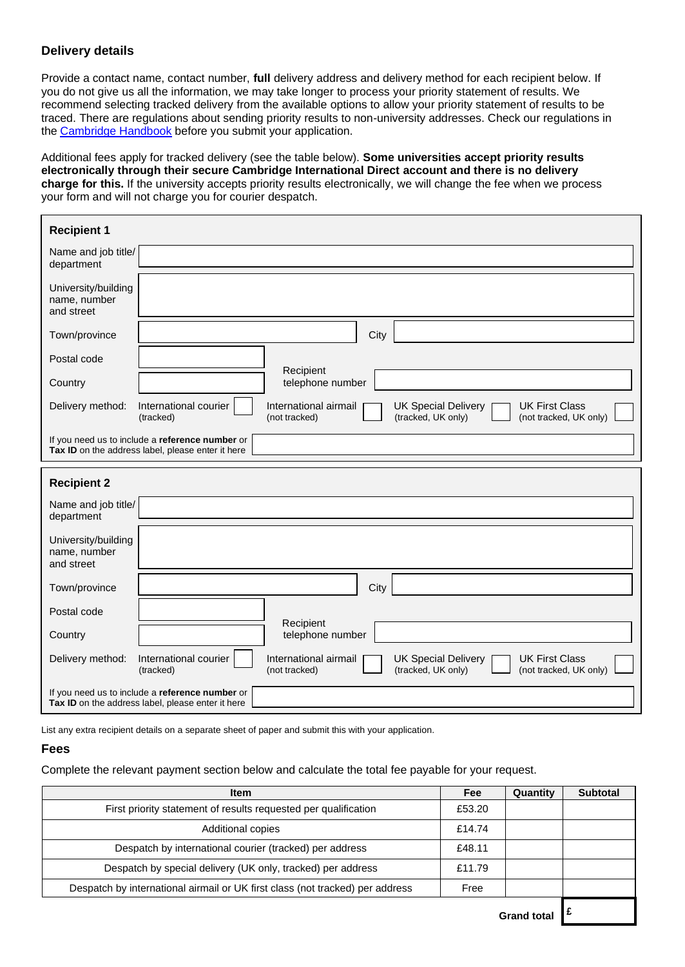## **Delivery details**

Provide a contact name, contact number, **full** delivery address and delivery method for each recipient below. If you do not give us all the information, we may take longer to process your priority statement of results. We recommend selecting tracked delivery from the available options to allow your priority statement of results to be traced. There are regulations about sending priority results to non-university addresses. Check our regulations in the [Cambridge Handbook](https://www.cambridgeinternational.org/exam-administration/cambridge-exams-officers-guide/) before you submit your application.

Additional fees apply for tracked delivery (see the table below). **Some universities accept priority results electronically through their secure Cambridge International Direct account and there is no delivery charge for this.** If the university accepts priority results electronically, we will change the fee when we process your form and will not charge you for courier despatch.

| <b>Recipient 1</b>                                |                                                                                                      |                                                                                                                                               |  |
|---------------------------------------------------|------------------------------------------------------------------------------------------------------|-----------------------------------------------------------------------------------------------------------------------------------------------|--|
| Name and job title/<br>department                 |                                                                                                      |                                                                                                                                               |  |
| University/building<br>name, number<br>and street |                                                                                                      |                                                                                                                                               |  |
| Town/province                                     |                                                                                                      | City                                                                                                                                          |  |
| Postal code                                       |                                                                                                      |                                                                                                                                               |  |
| Country                                           |                                                                                                      | Recipient<br>telephone number                                                                                                                 |  |
| Delivery method:                                  | International courier<br>(tracked)                                                                   | International airmail<br><b>UK First Class</b><br><b>UK Special Delivery</b><br>(not tracked)<br>(tracked, UK only)<br>(not tracked, UK only) |  |
|                                                   | If you need us to include a reference number or<br>Tax ID on the address label, please enter it here |                                                                                                                                               |  |
|                                                   |                                                                                                      |                                                                                                                                               |  |
| <b>Recipient 2</b>                                |                                                                                                      |                                                                                                                                               |  |
| Name and job title/<br>department                 |                                                                                                      |                                                                                                                                               |  |
| University/building<br>name, number<br>and street |                                                                                                      |                                                                                                                                               |  |
| Town/province                                     |                                                                                                      | City                                                                                                                                          |  |
| Postal code                                       |                                                                                                      |                                                                                                                                               |  |
| Country                                           |                                                                                                      | Recipient<br>telephone number                                                                                                                 |  |
| Delivery method:                                  | International courier<br>(tracked)                                                                   | International airmail<br><b>UK First Class</b><br><b>UK Special Delivery</b><br>(tracked, UK only)<br>(not tracked)<br>(not tracked, UK only) |  |

List any extra recipient details on a separate sheet of paper and submit this with your application.

#### **Fees**

Complete the relevant payment section below and calculate the total fee payable for your request.

| <b>Item</b>                                                                   | Fee    | Quantity    | <b>Subtotal</b> |
|-------------------------------------------------------------------------------|--------|-------------|-----------------|
| First priority statement of results requested per qualification               | £53.20 |             | U               |
| Additional copies                                                             | £14.74 |             |                 |
| Despatch by international courier (tracked) per address                       | £48.11 |             | U               |
| Despatch by special delivery (UK only, tracked) per address                   | £11.79 |             | U               |
| Despatch by international airmail or UK first class (not tracked) per address | Free   |             |                 |
|                                                                               |        | Grand total |                 |

**Grand total £**